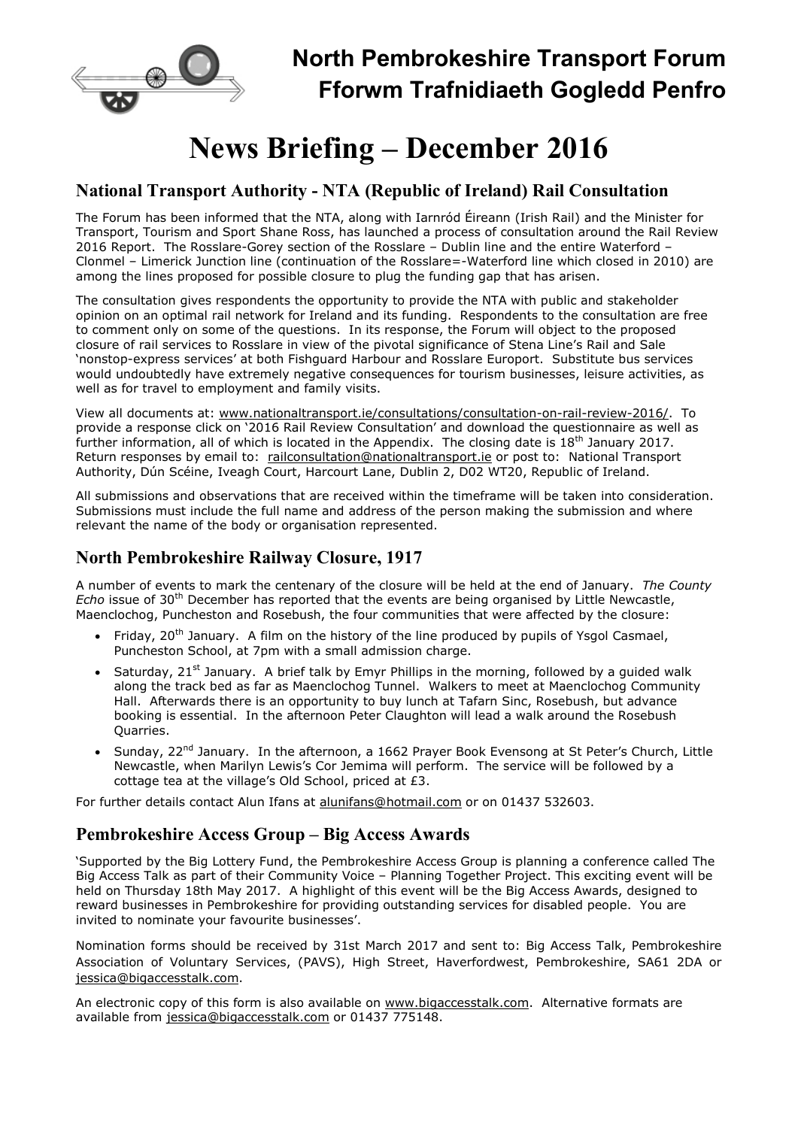

# News Briefing – December 2016

#### National Transport Authority - NTA (Republic of Ireland) Rail Consultation

The Forum has been informed that the NTA, along with Iarnród Éireann (Irish Rail) and the Minister for Transport, Tourism and Sport Shane Ross, has launched a process of consultation around the Rail Review 2016 Report. The Rosslare-Gorey section of the Rosslare – Dublin line and the entire Waterford – Clonmel – Limerick Junction line (continuation of the Rosslare=-Waterford line which closed in 2010) are among the lines proposed for possible closure to plug the funding gap that has arisen.

The consultation gives respondents the opportunity to provide the NTA with public and stakeholder opinion on an optimal rail network for Ireland and its funding. Respondents to the consultation are free to comment only on some of the questions. In its response, the Forum will object to the proposed closure of rail services to Rosslare in view of the pivotal significance of Stena Line's Rail and Sale 'nonstop-express services' at both Fishguard Harbour and Rosslare Europort. Substitute bus services would undoubtedly have extremely negative consequences for tourism businesses, leisure activities, as well as for travel to employment and family visits.

View all documents at: www.nationaltransport.ie/consultations/consultation-on-rail-review-2016/. To provide a response click on '2016 Rail Review Consultation' and download the questionnaire as well as further information, all of which is located in the Appendix. The closing date is 18<sup>th</sup> January 2017. Return responses by email to: railconsultation@nationaltransport.ie or post to: National Transport Authority, Dún Scéine, Iveagh Court, Harcourt Lane, Dublin 2, D02 WT20, Republic of Ireland.

All submissions and observations that are received within the timeframe will be taken into consideration. Submissions must include the full name and address of the person making the submission and where relevant the name of the body or organisation represented.

## North Pembrokeshire Railway Closure, 1917

A number of events to mark the centenary of the closure will be held at the end of January. The County Echo issue of 30<sup>th</sup> December has reported that the events are being organised by Little Newcastle, Maenclochog, Puncheston and Rosebush, the four communities that were affected by the closure:

- Friday, 20<sup>th</sup> January. A film on the history of the line produced by pupils of Ysgol Casmael, Puncheston School, at 7pm with a small admission charge.
- Saturday, 21<sup>st</sup> January. A brief talk by Emyr Phillips in the morning, followed by a quided walk along the track bed as far as Maenclochog Tunnel. Walkers to meet at Maenclochog Community Hall. Afterwards there is an opportunity to buy lunch at Tafarn Sinc, Rosebush, but advance booking is essential. In the afternoon Peter Claughton will lead a walk around the Rosebush Quarries.
- Sunday, 22<sup>nd</sup> January. In the afternoon, a 1662 Prayer Book Evensong at St Peter's Church, Little Newcastle, when Marilyn Lewis's Cor Jemima will perform. The service will be followed by a cottage tea at the village's Old School, priced at £3.

For further details contact Alun Ifans at alunifans@hotmail.com or on 01437 532603.

## Pembrokeshire Access Group – Big Access Awards

'Supported by the Big Lottery Fund, the Pembrokeshire Access Group is planning a conference called The Big Access Talk as part of their Community Voice – Planning Together Project. This exciting event will be held on Thursday 18th May 2017. A highlight of this event will be the Big Access Awards, designed to reward businesses in Pembrokeshire for providing outstanding services for disabled people. You are invited to nominate your favourite businesses'.

Nomination forms should be received by 31st March 2017 and sent to: Big Access Talk, Pembrokeshire Association of Voluntary Services, (PAVS), High Street, Haverfordwest, Pembrokeshire, SA61 2DA or jessica@bigaccesstalk.com.

An electronic copy of this form is also available on www.bigaccesstalk.com. Alternative formats are available from jessica@bigaccesstalk.com or 01437 775148.